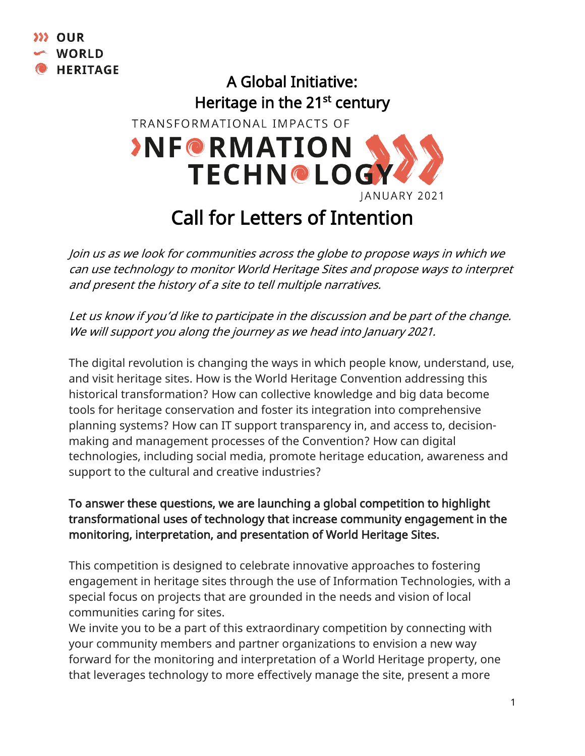

## A Global Initiative: Heritage in the 21<sup>st</sup> century TRANSFORMATIONAL IMPACTS OF **SNF@RMATION TECHN@LOG** JANUARY 2021

## Call for Letters of Intention

Join us as we look for communities across the globe to propose ways in which we can use technology to monitor World Heritage Sites and propose ways to interpret and present the history of a site to tell multiple narratives.

Let us know if you'd like to participate in the discussion and be part of the change. We will support you along the journey as we head into January 2021.

The digital revolution is changing the ways in which people know, understand, use, and visit heritage sites. How is the World Heritage Convention addressing this historical transformation? How can collective knowledge and big data become tools for heritage conservation and foster its integration into comprehensive planning systems? How can IT support transparency in, and access to, decisionmaking and management processes of the Convention? How can digital technologies, including social media, promote heritage education, awareness and support to the cultural and creative industries?

## To answer these questions, we are launching a global competition to highlight transformational uses of technology that increase community engagement in the monitoring, interpretation, and presentation of World Heritage Sites.

This competition is designed to celebrate innovative approaches to fostering engagement in heritage sites through the use of Information Technologies, with a special focus on projects that are grounded in the needs and vision of local communities caring for sites.

We invite you to be a part of this extraordinary competition by connecting with your community members and partner organizations to envision a new way forward for the monitoring and interpretation of a World Heritage property, one that leverages technology to more effectively manage the site, present a more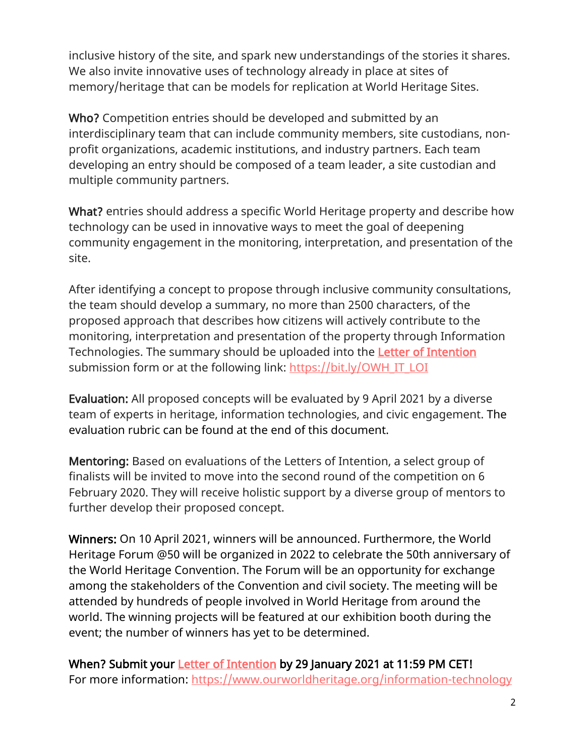inclusive history of the site, and spark new understandings of the stories it shares. We also invite innovative uses of technology already in place at sites of memory/heritage that can be models for replication at World Heritage Sites.

Who? Competition entries should be developed and submitted by an interdisciplinary team that can include community members, site custodians, nonprofit organizations, academic institutions, and industry partners. Each team developing an entry should be composed of a team leader, a site custodian and multiple community partners.

What? entries should address a specific World Heritage property and describe how technology can be used in innovative ways to meet the goal of deepening community engagement in the monitoring, interpretation, and presentation of the site.

After identifying a concept to propose through inclusive community consultations, the team should develop a summary, no more than 2500 characters, of the proposed approach that describes how citizens will actively contribute to the monitoring, interpretation and presentation of the property through Information Technologies. The summary should be uploaded into the [Letter of Intention](https://www.ourworldheritage.org/it_loi/)  submission form or at the following link: [https://bit.ly/OWH\\_IT\\_LOI](https://bit.ly/OWH_IT_LOI)

Evaluation: All proposed concepts will be evaluated by 9 April 2021 by a diverse team of experts in heritage, information technologies, and civic engagement. The evaluation rubric can be found at the end of this document.

Mentoring: Based on evaluations of the Letters of Intention, a select group of finalists will be invited to move into the second round of the competition on 6 February 2020. They will receive holistic support by a diverse group of mentors to further develop their proposed concept.

Winners: On 10 April 2021, winners will be announced. Furthermore, the World Heritage Forum @50 will be organized in 2022 to celebrate the 50th anniversary of the World Heritage Convention. The Forum will be an opportunity for exchange among the stakeholders of the Convention and civil society. The meeting will be attended by hundreds of people involved in World Heritage from around the world. The winning projects will be featured at our exhibition booth during the event; the number of winners has yet to be determined.

When? Submit your **Letter of Intention** by 29 January 2021 at 11:59 PM CET! For more information:<https://www.ourworldheritage.org/information-technology>